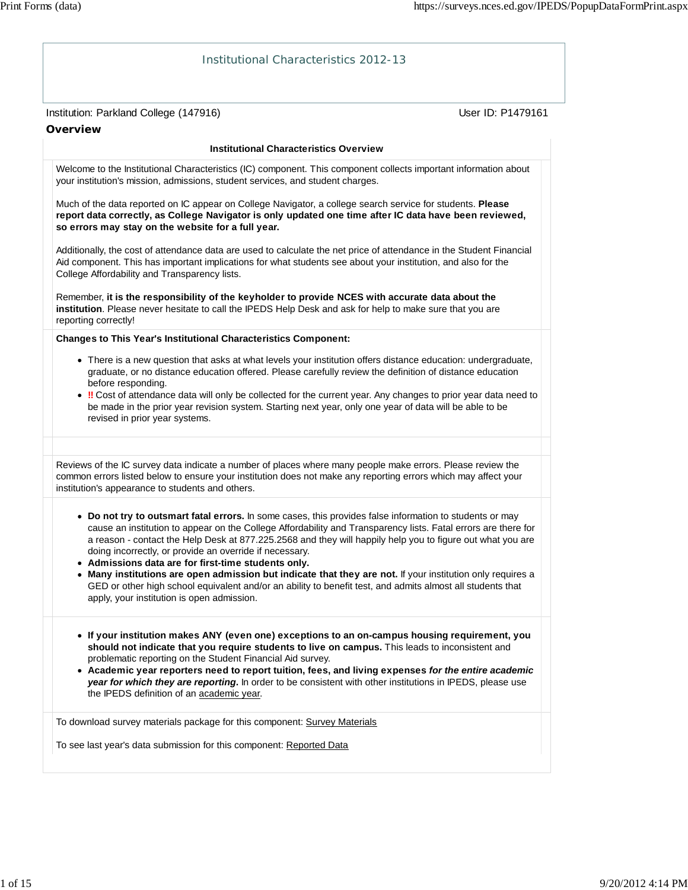| <b>Institutional Characteristics 2012-13</b>                                                                                                                                                                                                                                                                                                                                                                                                                                                                                                                                                                                                                                                                                         |  |
|--------------------------------------------------------------------------------------------------------------------------------------------------------------------------------------------------------------------------------------------------------------------------------------------------------------------------------------------------------------------------------------------------------------------------------------------------------------------------------------------------------------------------------------------------------------------------------------------------------------------------------------------------------------------------------------------------------------------------------------|--|
| User ID: P1479161<br>Institution: Parkland College (147916)                                                                                                                                                                                                                                                                                                                                                                                                                                                                                                                                                                                                                                                                          |  |
| <b>Overview</b>                                                                                                                                                                                                                                                                                                                                                                                                                                                                                                                                                                                                                                                                                                                      |  |
| <b>Institutional Characteristics Overview</b>                                                                                                                                                                                                                                                                                                                                                                                                                                                                                                                                                                                                                                                                                        |  |
| Welcome to the Institutional Characteristics (IC) component. This component collects important information about<br>your institution's mission, admissions, student services, and student charges.                                                                                                                                                                                                                                                                                                                                                                                                                                                                                                                                   |  |
| Much of the data reported on IC appear on College Navigator, a college search service for students. Please<br>report data correctly, as College Navigator is only updated one time after IC data have been reviewed,<br>so errors may stay on the website for a full year.                                                                                                                                                                                                                                                                                                                                                                                                                                                           |  |
| Additionally, the cost of attendance data are used to calculate the net price of attendance in the Student Financial<br>Aid component. This has important implications for what students see about your institution, and also for the<br>College Affordability and Transparency lists.                                                                                                                                                                                                                                                                                                                                                                                                                                               |  |
| Remember, it is the responsibility of the keyholder to provide NCES with accurate data about the<br>institution. Please never hesitate to call the IPEDS Help Desk and ask for help to make sure that you are<br>reporting correctly!                                                                                                                                                                                                                                                                                                                                                                                                                                                                                                |  |
| <b>Changes to This Year's Institutional Characteristics Component:</b>                                                                                                                                                                                                                                                                                                                                                                                                                                                                                                                                                                                                                                                               |  |
| • There is a new question that asks at what levels your institution offers distance education: undergraduate,<br>graduate, or no distance education offered. Please carefully review the definition of distance education<br>before responding.<br>. !! Cost of attendance data will only be collected for the current year. Any changes to prior year data need to<br>be made in the prior year revision system. Starting next year, only one year of data will be able to be<br>revised in prior year systems.                                                                                                                                                                                                                     |  |
| Reviews of the IC survey data indicate a number of places where many people make errors. Please review the<br>common errors listed below to ensure your institution does not make any reporting errors which may affect your<br>institution's appearance to students and others.                                                                                                                                                                                                                                                                                                                                                                                                                                                     |  |
| . Do not try to outsmart fatal errors. In some cases, this provides false information to students or may<br>cause an institution to appear on the College Affordability and Transparency lists. Fatal errors are there for<br>a reason - contact the Help Desk at 877.225.2568 and they will happily help you to figure out what you are<br>doing incorrectly, or provide an override if necessary.<br>• Admissions data are for first-time students only.<br>. Many institutions are open admission but indicate that they are not. If your institution only requires a<br>GED or other high school equivalent and/or an ability to benefit test, and admits almost all students that<br>apply, your institution is open admission. |  |
| • If your institution makes ANY (even one) exceptions to an on-campus housing requirement, you<br>should not indicate that you require students to live on campus. This leads to inconsistent and<br>problematic reporting on the Student Financial Aid survey.<br>• Academic year reporters need to report tuition, fees, and living expenses for the entire academic<br>year for which they are reporting. In order to be consistent with other institutions in IPEDS, please use<br>the IPEDS definition of an academic year.                                                                                                                                                                                                     |  |
| To download survey materials package for this component: Survey Materials                                                                                                                                                                                                                                                                                                                                                                                                                                                                                                                                                                                                                                                            |  |
| To see last year's data submission for this component: Reported Data                                                                                                                                                                                                                                                                                                                                                                                                                                                                                                                                                                                                                                                                 |  |
|                                                                                                                                                                                                                                                                                                                                                                                                                                                                                                                                                                                                                                                                                                                                      |  |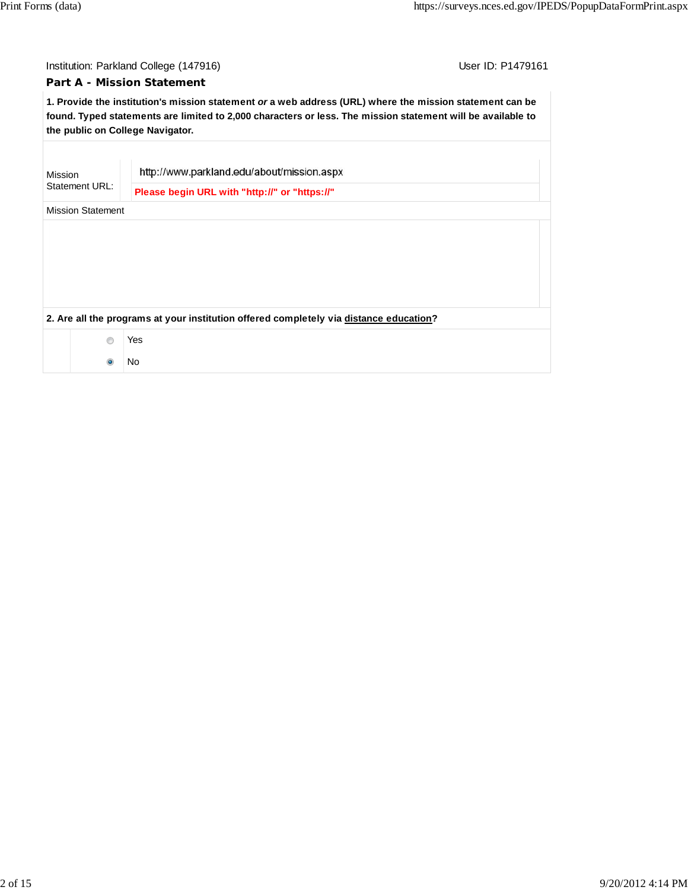|         | User ID: P1479161<br>Institution: Parkland College (147916) |                                                                                                                                                                                                                                                             |  |  |  |  |
|---------|-------------------------------------------------------------|-------------------------------------------------------------------------------------------------------------------------------------------------------------------------------------------------------------------------------------------------------------|--|--|--|--|
|         |                                                             | <b>Part A - Mission Statement</b>                                                                                                                                                                                                                           |  |  |  |  |
|         |                                                             | 1. Provide the institution's mission statement or a web address (URL) where the mission statement can be<br>found. Typed statements are limited to 2,000 characters or less. The mission statement will be available to<br>the public on College Navigator. |  |  |  |  |
|         |                                                             |                                                                                                                                                                                                                                                             |  |  |  |  |
| Mission |                                                             | http://www.parkland.edu/about/mission.aspx                                                                                                                                                                                                                  |  |  |  |  |
|         | Statement URL:                                              | Please begin URL with "http://" or "https://"                                                                                                                                                                                                               |  |  |  |  |
|         | <b>Mission Statement</b>                                    |                                                                                                                                                                                                                                                             |  |  |  |  |
|         |                                                             |                                                                                                                                                                                                                                                             |  |  |  |  |
|         |                                                             |                                                                                                                                                                                                                                                             |  |  |  |  |
|         |                                                             |                                                                                                                                                                                                                                                             |  |  |  |  |
|         |                                                             |                                                                                                                                                                                                                                                             |  |  |  |  |
|         |                                                             | 2. Are all the programs at your institution offered completely via distance education?                                                                                                                                                                      |  |  |  |  |
|         | $\circledcirc$                                              | Yes                                                                                                                                                                                                                                                         |  |  |  |  |
|         | $\bullet$                                                   | No                                                                                                                                                                                                                                                          |  |  |  |  |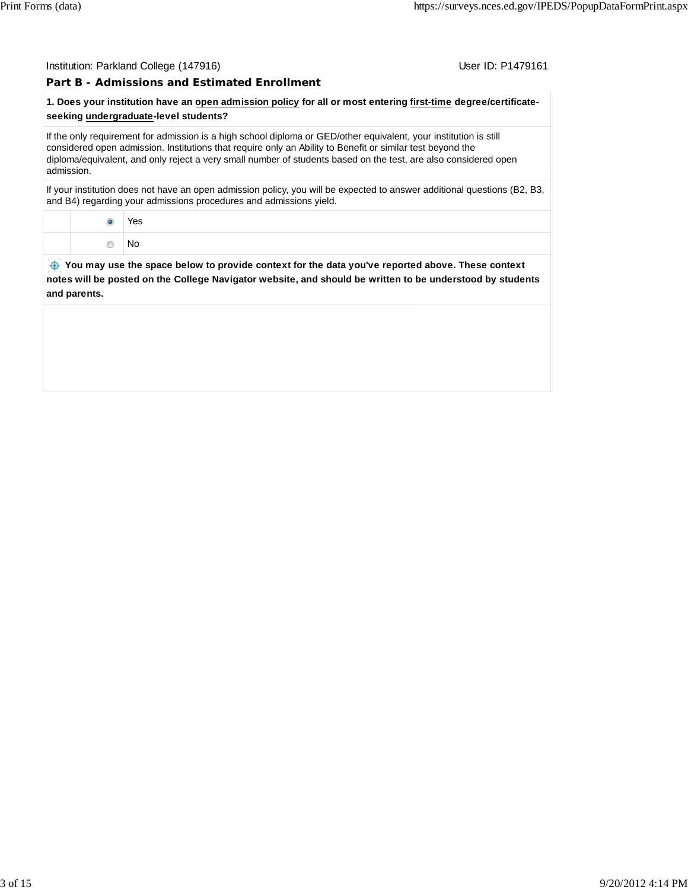#### Institution: Parkland College (147916) November 2012 12:38:39 User ID: P1479161

## **Part B - Admissions and Estimated Enrollment**

## **1. Does your institution have an open admission policy for all or most entering first-time degree/certificateseeking undergraduate-level students?**

If the only requirement for admission is a high school diploma or GED/other equivalent, your institution is still considered open admission. Institutions that require only an Ability to Benefit or similar test beyond the diploma/equivalent, and only reject a very small number of students based on the test, are also considered open admission.

If your institution does not have an open admission policy, you will be expected to answer additional questions (B2, B3, and B4) regarding your admissions procedures and admissions yield.

|  | Yes<br>- - |  |
|--|------------|--|
|  | . No       |  |

 **You may use the space below to provide context for the data you've reported above. These context notes will be posted on the College Navigator website, and should be written to be understood by students and parents.**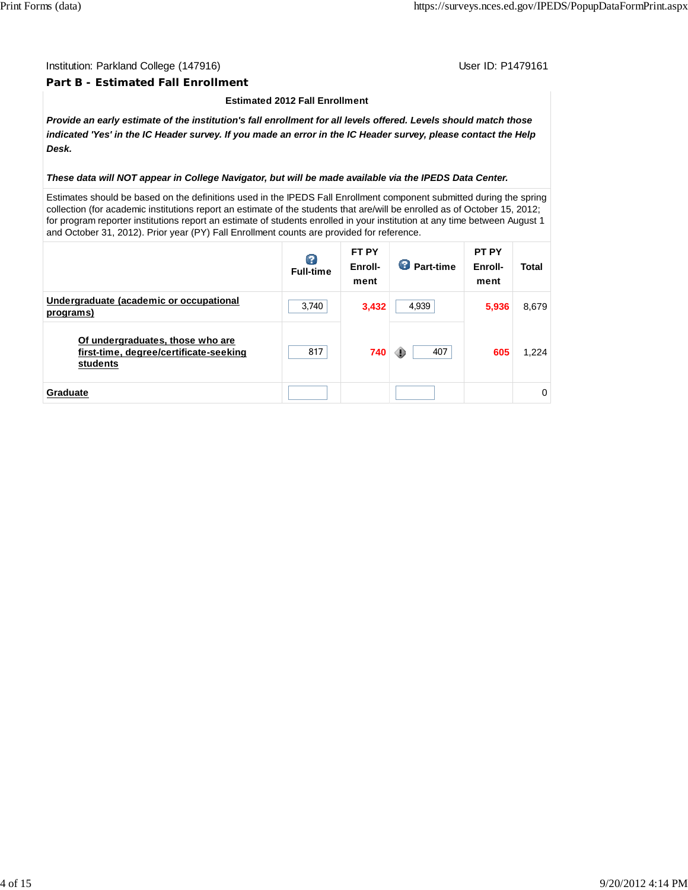### Institution: Parkland College (147916) November 2012 12:38 1999 User ID: P1479161

### **Part B - Estimated Fall Enrollment**

#### **Estimated 2012 Fall Enrollment**

*Provide an early estimate of the institution's fall enrollment for all levels offered. Levels should match those indicated 'Yes' in the IC Header survey. If you made an error in the IC Header survey, please contact the Help Desk.*

#### *These data will NOT appear in College Navigator, but will be made available via the IPEDS Data Center.*

Estimates should be based on the definitions used in the IPEDS Fall Enrollment component submitted during the spring collection (for academic institutions report an estimate of the students that are/will be enrolled as of October 15, 2012; for program reporter institutions report an estimate of students enrolled in your institution at any time between August 1 and October 31, 2012). Prior year (PY) Fall Enrollment counts are provided for reference.

|                                                                                        | Q<br><b>Full-time</b> | FT PY<br>Enroll-<br>ment | œ<br>Part-time | <b>PT PY</b><br>Enroll-<br>ment | Total |
|----------------------------------------------------------------------------------------|-----------------------|--------------------------|----------------|---------------------------------|-------|
| Undergraduate (academic or occupational<br>programs)                                   | 3,740                 | 3,432                    | 4,939          | 5,936                           | 8,679 |
| Of undergraduates, those who are<br>first-time, degree/certificate-seeking<br>students | 817                   | 740                      | 407<br>⊕       | 605                             | 1.224 |
| Graduate                                                                               |                       |                          |                |                                 | 0     |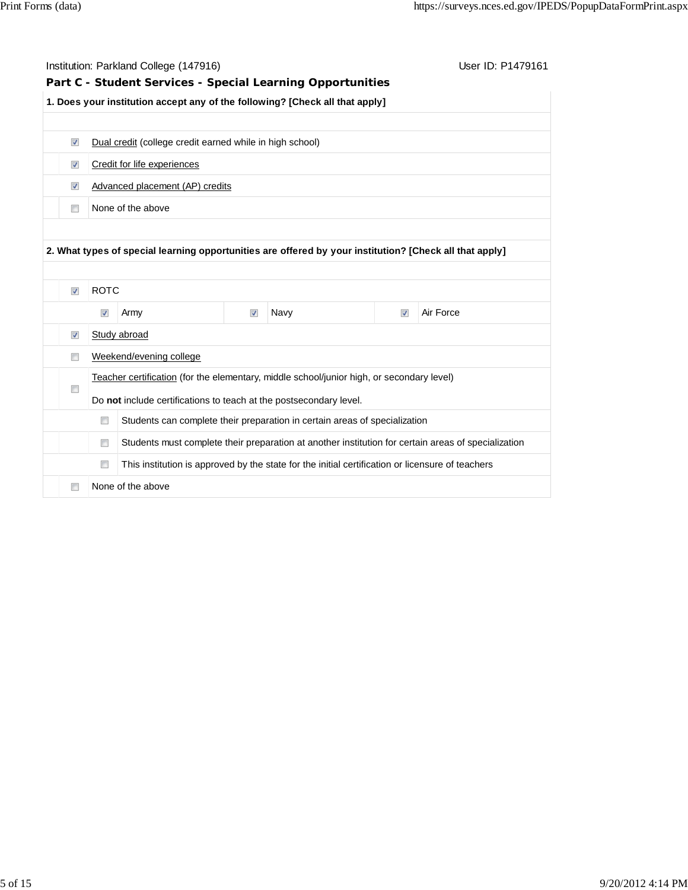|                                                                    |                      | Institution: Parkland College (147916)                                                                  | User ID: P1479161    |                                                                                                  |                         |                                                                                                     |  |
|--------------------------------------------------------------------|----------------------|---------------------------------------------------------------------------------------------------------|----------------------|--------------------------------------------------------------------------------------------------|-------------------------|-----------------------------------------------------------------------------------------------------|--|
|                                                                    |                      | Part C - Student Services - Special Learning Opportunities                                              |                      |                                                                                                  |                         |                                                                                                     |  |
|                                                                    |                      | 1. Does your institution accept any of the following? [Check all that apply]                            |                      |                                                                                                  |                         |                                                                                                     |  |
|                                                                    |                      |                                                                                                         |                      |                                                                                                  |                         |                                                                                                     |  |
| $\blacktriangledown$                                               |                      | Dual credit (college credit earned while in high school)                                                |                      |                                                                                                  |                         |                                                                                                     |  |
| $\blacktriangledown$                                               |                      | Credit for life experiences                                                                             |                      |                                                                                                  |                         |                                                                                                     |  |
| $\overline{\mathcal{A}}$                                           |                      | Advanced placement (AP) credits                                                                         |                      |                                                                                                  |                         |                                                                                                     |  |
| $\Box$                                                             |                      | None of the above                                                                                       |                      |                                                                                                  |                         |                                                                                                     |  |
|                                                                    |                      |                                                                                                         |                      |                                                                                                  |                         |                                                                                                     |  |
|                                                                    |                      | 2. What types of special learning opportunities are offered by your institution? [Check all that apply] |                      |                                                                                                  |                         |                                                                                                     |  |
|                                                                    |                      |                                                                                                         |                      |                                                                                                  |                         |                                                                                                     |  |
|                                                                    |                      |                                                                                                         |                      |                                                                                                  |                         |                                                                                                     |  |
|                                                                    | <b>ROTC</b>          |                                                                                                         |                      |                                                                                                  |                         |                                                                                                     |  |
|                                                                    | $\blacktriangledown$ | Army                                                                                                    | $\blacktriangledown$ | Navy                                                                                             | $\overline{\mathbf{v}}$ | Air Force                                                                                           |  |
|                                                                    |                      | Study abroad                                                                                            |                      |                                                                                                  |                         |                                                                                                     |  |
|                                                                    |                      | Weekend/evening college                                                                                 |                      |                                                                                                  |                         |                                                                                                     |  |
|                                                                    |                      | Teacher certification (for the elementary, middle school/junior high, or secondary level)               |                      |                                                                                                  |                         |                                                                                                     |  |
|                                                                    |                      | Do not include certifications to teach at the postsecondary level.                                      |                      |                                                                                                  |                         |                                                                                                     |  |
|                                                                    | $\Box$               |                                                                                                         |                      | Students can complete their preparation in certain areas of specialization                       |                         |                                                                                                     |  |
| $\overline{\mathsf{v}}$<br>$\overline{\mathcal{A}}$<br>n<br>$\Box$ | $\Box$               |                                                                                                         |                      |                                                                                                  |                         | Students must complete their preparation at another institution for certain areas of specialization |  |
|                                                                    | $\Box$               |                                                                                                         |                      | This institution is approved by the state for the initial certification or licensure of teachers |                         |                                                                                                     |  |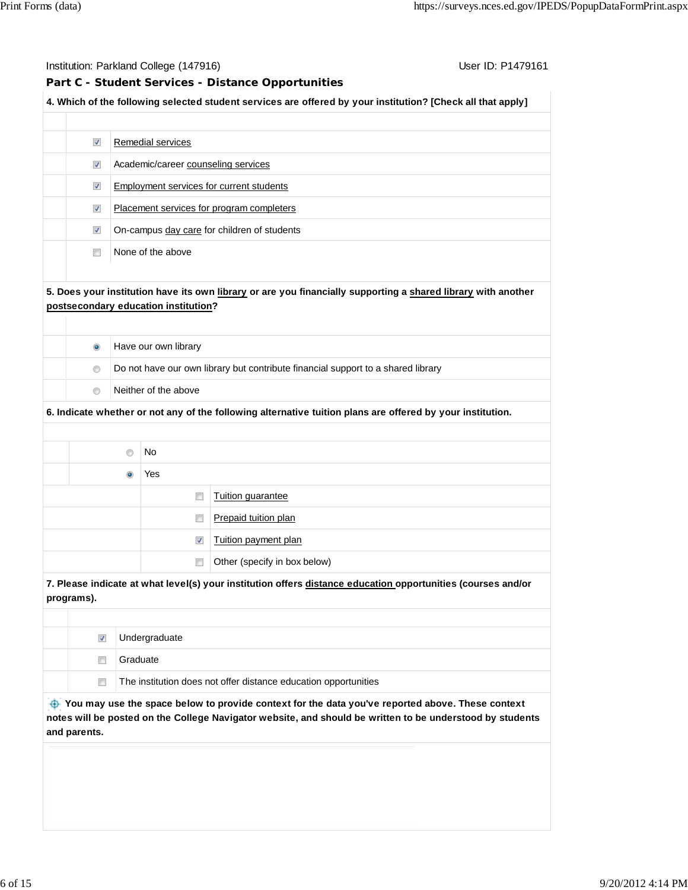### Institution: Parkland College (147916) Contact College (147916)

## **Part C - Student Services - Distance Opportunities**

| 4. Which of the following selected student services are offered by your institution? [Check all that apply] |  |
|-------------------------------------------------------------------------------------------------------------|--|
|                                                                                                             |  |

| $\blacktriangledown$    | Remedial services                           |
|-------------------------|---------------------------------------------|
| $\overline{\mathsf{v}}$ | Academic/career counseling services         |
| $\overline{\mathsf{v}}$ | Employment services for current students    |
| $\overline{\mathsf{v}}$ | Placement services for program completers   |
| $\overline{\mathbf{v}}$ | On-campus day care for children of students |
|                         | None of the above                           |

## **5. Does your institution have its own library or are you financially supporting a shared library with another postsecondary education institution?**

| $\bullet$                                                                                          |                      | Have our own library |                                                                                                            |  |  |
|----------------------------------------------------------------------------------------------------|----------------------|----------------------|------------------------------------------------------------------------------------------------------------|--|--|
| Do not have our own library but contribute financial support to a shared library<br>$\circledcirc$ |                      |                      |                                                                                                            |  |  |
| $\circledcirc$                                                                                     | Neither of the above |                      |                                                                                                            |  |  |
|                                                                                                    |                      |                      | 6. Indicate whether or not any of the following alternative tuition plans are offered by your institution. |  |  |
|                                                                                                    |                      |                      |                                                                                                            |  |  |
| No                                                                                                 |                      |                      |                                                                                                            |  |  |
| Yes<br>$\bullet$                                                                                   |                      |                      |                                                                                                            |  |  |
|                                                                                                    |                      |                      | Tuition quarantee                                                                                          |  |  |
|                                                                                                    |                      |                      |                                                                                                            |  |  |

|  | 7. Please indicate at what level(s) your institution offers distance education opportunities (courses and/or |
|--|--------------------------------------------------------------------------------------------------------------|
|  | Other (specify in box below)                                                                                 |
|  | Tuition payment plan                                                                                         |
|  | Prepaid tuition plan                                                                                         |

**7. Please indicate at what level(s) your institution offers distance education opportunities (courses and/or programs).**

| V | Undergraduate                                                   |
|---|-----------------------------------------------------------------|
|   | Graduate                                                        |
| n | The institution does not offer distance education opportunities |

You may use the space below to provide context for the data you've reported above. These context **notes will be posted on the College Navigator website, and should be written to be understood by students and parents.**

۰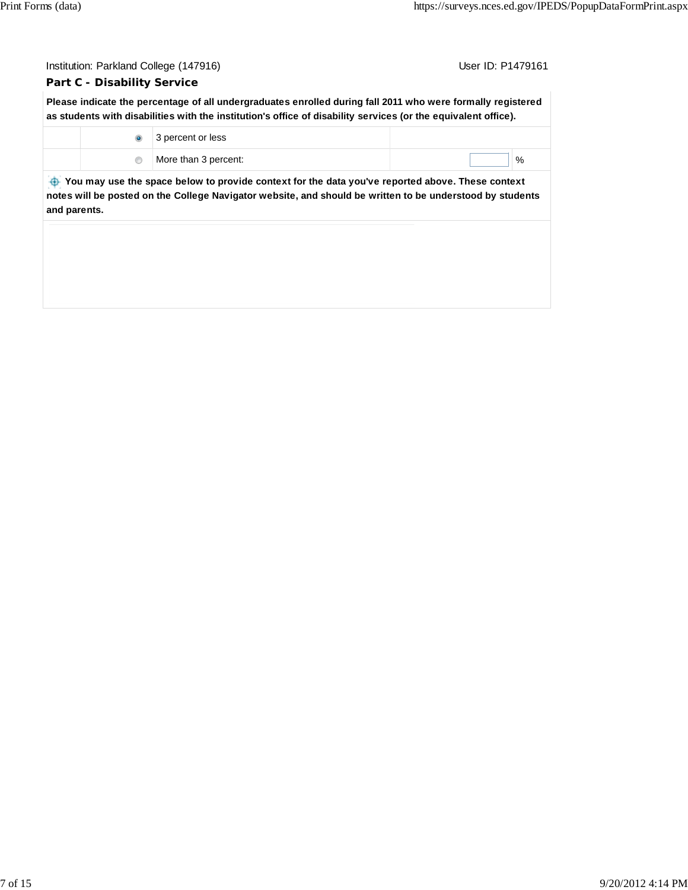|                                                                                                                                                                                                                               | User ID: P1479161<br>Institution: Parkland College (147916) |                                                                                                                                                                                                                               |   |  |  |  |
|-------------------------------------------------------------------------------------------------------------------------------------------------------------------------------------------------------------------------------|-------------------------------------------------------------|-------------------------------------------------------------------------------------------------------------------------------------------------------------------------------------------------------------------------------|---|--|--|--|
|                                                                                                                                                                                                                               | <b>Part C - Disability Service</b>                          |                                                                                                                                                                                                                               |   |  |  |  |
|                                                                                                                                                                                                                               |                                                             | Please indicate the percentage of all undergraduates enrolled during fall 2011 who were formally registered<br>as students with disabilities with the institution's office of disability services (or the equivalent office). |   |  |  |  |
|                                                                                                                                                                                                                               | $\bullet$                                                   | 3 percent or less                                                                                                                                                                                                             |   |  |  |  |
|                                                                                                                                                                                                                               | $\circledcirc$                                              | More than 3 percent:                                                                                                                                                                                                          | % |  |  |  |
| You may use the space below to provide context for the data you've reported above. These context<br>notes will be posted on the College Navigator website, and should be written to be understood by students<br>and parents. |                                                             |                                                                                                                                                                                                                               |   |  |  |  |
|                                                                                                                                                                                                                               |                                                             |                                                                                                                                                                                                                               |   |  |  |  |
|                                                                                                                                                                                                                               |                                                             |                                                                                                                                                                                                                               |   |  |  |  |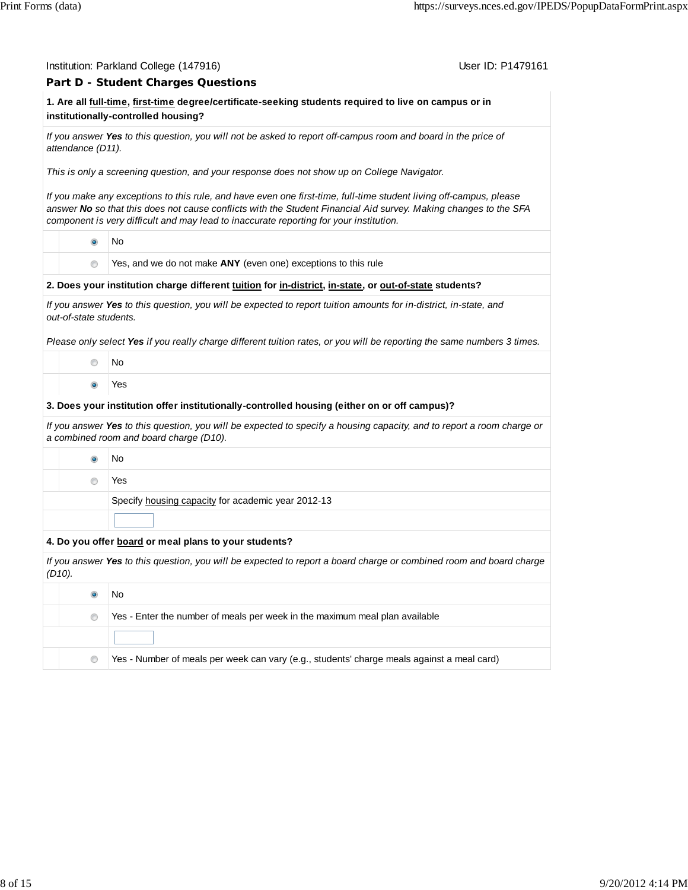|                        | User ID: P1479161<br>Institution: Parkland College (147916)                                                                                                                                                                                                                                                                      |  |
|------------------------|----------------------------------------------------------------------------------------------------------------------------------------------------------------------------------------------------------------------------------------------------------------------------------------------------------------------------------|--|
|                        | Part D - Student Charges Questions                                                                                                                                                                                                                                                                                               |  |
|                        | 1. Are all full-time, first-time degree/certificate-seeking students required to live on campus or in<br>institutionally-controlled housing?                                                                                                                                                                                     |  |
| attendance (D11).      | If you answer Yes to this question, you will not be asked to report off-campus room and board in the price of                                                                                                                                                                                                                    |  |
|                        | This is only a screening question, and your response does not show up on College Navigator.                                                                                                                                                                                                                                      |  |
|                        | If you make any exceptions to this rule, and have even one first-time, full-time student living off-campus, please<br>answer No so that this does not cause conflicts with the Student Financial Aid survey. Making changes to the SFA<br>component is very difficult and may lead to inaccurate reporting for your institution. |  |
| $\bullet$              | No                                                                                                                                                                                                                                                                                                                               |  |
| $\circ$                | Yes, and we do not make ANY (even one) exceptions to this rule                                                                                                                                                                                                                                                                   |  |
|                        | 2. Does your institution charge different tuition for in-district, in-state, or out-of-state students?                                                                                                                                                                                                                           |  |
| out-of-state students. | If you answer Yes to this question, you will be expected to report tuition amounts for in-district, in-state, and                                                                                                                                                                                                                |  |
|                        | Please only select Yes if you really charge different tuition rates, or you will be reporting the same numbers 3 times.                                                                                                                                                                                                          |  |
| 0                      | No                                                                                                                                                                                                                                                                                                                               |  |
| $\bullet$              | Yes                                                                                                                                                                                                                                                                                                                              |  |
|                        | 3. Does your institution offer institutionally-controlled housing (either on or off campus)?                                                                                                                                                                                                                                     |  |
|                        | If you answer Yes to this question, you will be expected to specify a housing capacity, and to report a room charge or<br>a combined room and board charge (D10).                                                                                                                                                                |  |
| $\bullet$              | No                                                                                                                                                                                                                                                                                                                               |  |
| ⊙                      | Yes                                                                                                                                                                                                                                                                                                                              |  |
|                        | Specify housing capacity for academic year 2012-13                                                                                                                                                                                                                                                                               |  |
|                        |                                                                                                                                                                                                                                                                                                                                  |  |
|                        | 4. Do you offer board or meal plans to your students?                                                                                                                                                                                                                                                                            |  |
| $(D10)$ .              | If you answer Yes to this question, you will be expected to report a board charge or combined room and board charge                                                                                                                                                                                                              |  |
| $\bullet$              | No                                                                                                                                                                                                                                                                                                                               |  |
| $\circ$                | Yes - Enter the number of meals per week in the maximum meal plan available                                                                                                                                                                                                                                                      |  |
|                        |                                                                                                                                                                                                                                                                                                                                  |  |
| 0                      | Yes - Number of meals per week can vary (e.g., students' charge meals against a meal card)                                                                                                                                                                                                                                       |  |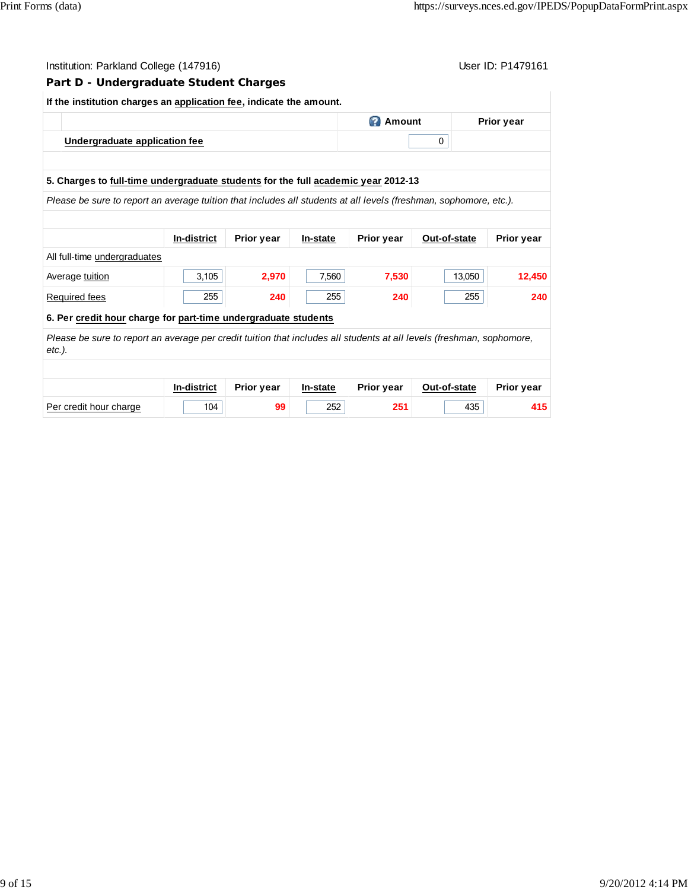|        | Institution: Parkland College (147916)                                                                                |                    |                   |          |                   |              | User ID: P1479161 |
|--------|-----------------------------------------------------------------------------------------------------------------------|--------------------|-------------------|----------|-------------------|--------------|-------------------|
|        | Part D - Undergraduate Student Charges                                                                                |                    |                   |          |                   |              |                   |
|        | If the institution charges an application fee, indicate the amount.                                                   |                    |                   |          |                   |              |                   |
|        |                                                                                                                       |                    |                   |          | <b>B</b> Amount   |              | <b>Prior year</b> |
|        | Undergraduate application fee                                                                                         |                    |                   |          |                   | 0            |                   |
|        |                                                                                                                       |                    |                   |          |                   |              |                   |
|        | 5. Charges to full-time undergraduate students for the full academic year 2012-13                                     |                    |                   |          |                   |              |                   |
|        | Please be sure to report an average tuition that includes all students at all levels (freshman, sophomore, etc.).     |                    |                   |          |                   |              |                   |
|        |                                                                                                                       |                    |                   |          |                   |              |                   |
|        |                                                                                                                       | In-district        | <b>Prior year</b> | In-state | <b>Prior year</b> | Out-of-state | Prior year        |
|        | All full-time undergraduates                                                                                          |                    |                   |          |                   |              |                   |
|        | Average tuition                                                                                                       | 3,105              | 2,970             | 7,560    | 7,530             | 13,050       | 12,450            |
|        | Required fees                                                                                                         | 255                | 240               | 255      | 240               | 255          | 240               |
|        | 6. Per credit hour charge for part-time undergraduate students                                                        |                    |                   |          |                   |              |                   |
| etc.). | Please be sure to report an average per credit tuition that includes all students at all levels (freshman, sophomore, |                    |                   |          |                   |              |                   |
|        |                                                                                                                       |                    |                   |          |                   |              |                   |
|        |                                                                                                                       | <b>In-district</b> | Prior year        | In-state | Prior year        | Out-of-state | Prior year        |
|        | Per credit hour charge                                                                                                | 104                | 99                | 252      | 251               | 435          | 415               |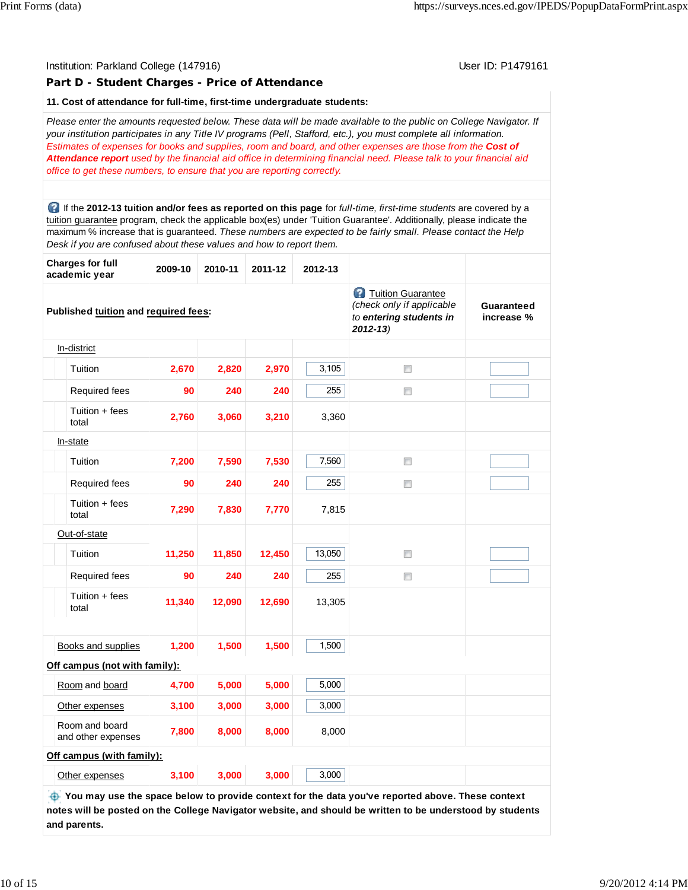| Institution: Parkland College (147916) |  |  |  |
|----------------------------------------|--|--|--|
|----------------------------------------|--|--|--|

#### **Part D - Student Charges - Price of Attendance**

User ID: P1479161

#### **11. Cost of attendance for full-time, first-time undergraduate students:**

*Please enter the amounts requested below. These data will be made available to the public on College Navigator. If your institution participates in any Title IV programs (Pell, Stafford, etc.), you must complete all information. Estimates of expenses for books and supplies, room and board, and other expenses are those from the Cost of Attendance report used by the financial aid office in determining financial need. Please talk to your financial aid office to get these numbers, to ensure that you are reporting correctly.*

 If the **2012-13 tuition and/or fees as reported on this page** for *full-time, first-time students* are covered by a tuition guarantee program, check the applicable box(es) under 'Tuition Guarantee'. Additionally, please indicate the maximum % increase that is guaranteed. *These numbers are expected to be fairly small. Please contact the Help Desk if you are confused about these values and how to report them.*

| <b>Charges for full</b><br>academic year | 2009-10 | 2010-11 | 2011-12 | 2012-13 |                                                                                                   |                                 |
|------------------------------------------|---------|---------|---------|---------|---------------------------------------------------------------------------------------------------|---------------------------------|
| Published tuition and required fees:     |         |         |         |         | <b>2</b> Tuition Guarantee<br>(check only if applicable<br>to entering students in<br>$2012 - 13$ | <b>Guaranteed</b><br>increase % |
| In-district                              |         |         |         |         |                                                                                                   |                                 |
| Tuition                                  | 2,670   | 2,820   | 2,970   | 3,105   | $\Box$                                                                                            |                                 |
| Required fees                            | 90      | 240     | 240     | 255     | $\Box$                                                                                            |                                 |
| Tuition + fees<br>total                  | 2,760   | 3,060   | 3,210   | 3,360   |                                                                                                   |                                 |
| In-state                                 |         |         |         |         |                                                                                                   |                                 |
| Tuition                                  | 7,200   | 7,590   | 7,530   | 7,560   | $\Box$                                                                                            |                                 |
| Required fees                            | 90      | 240     | 240     | 255     | $\Box$                                                                                            |                                 |
| Tuition + fees<br>total                  | 7,290   | 7,830   | 7,770   | 7,815   |                                                                                                   |                                 |
| Out-of-state                             |         |         |         |         |                                                                                                   |                                 |
| Tuition                                  | 11,250  | 11,850  | 12,450  | 13,050  | n                                                                                                 |                                 |
| <b>Required fees</b>                     | 90      | 240     | 240     | 255     | $\Box$                                                                                            |                                 |
| Tuition + fees<br>total                  | 11,340  | 12,090  | 12,690  | 13,305  |                                                                                                   |                                 |
|                                          |         |         |         |         |                                                                                                   |                                 |
| Books and supplies                       | 1,200   | 1,500   | 1,500   | 1,500   |                                                                                                   |                                 |
| Off campus (not with family):            |         |         |         |         |                                                                                                   |                                 |
| Room and board                           | 4,700   | 5,000   | 5,000   | 5,000   |                                                                                                   |                                 |
| Other expenses                           | 3,100   | 3,000   | 3,000   | 3,000   |                                                                                                   |                                 |
| Room and board<br>and other expenses     | 7,800   | 8,000   | 8,000   | 8,000   |                                                                                                   |                                 |
| Off campus (with family):                |         |         |         |         |                                                                                                   |                                 |
| Other expenses                           | 3,100   | 3,000   | 3,000   | 3,000   |                                                                                                   |                                 |
|                                          |         |         |         |         |                                                                                                   |                                 |

 **You may use the space below to provide context for the data you've reported above. These context notes will be posted on the College Navigator website, and should be written to be understood by students and parents.**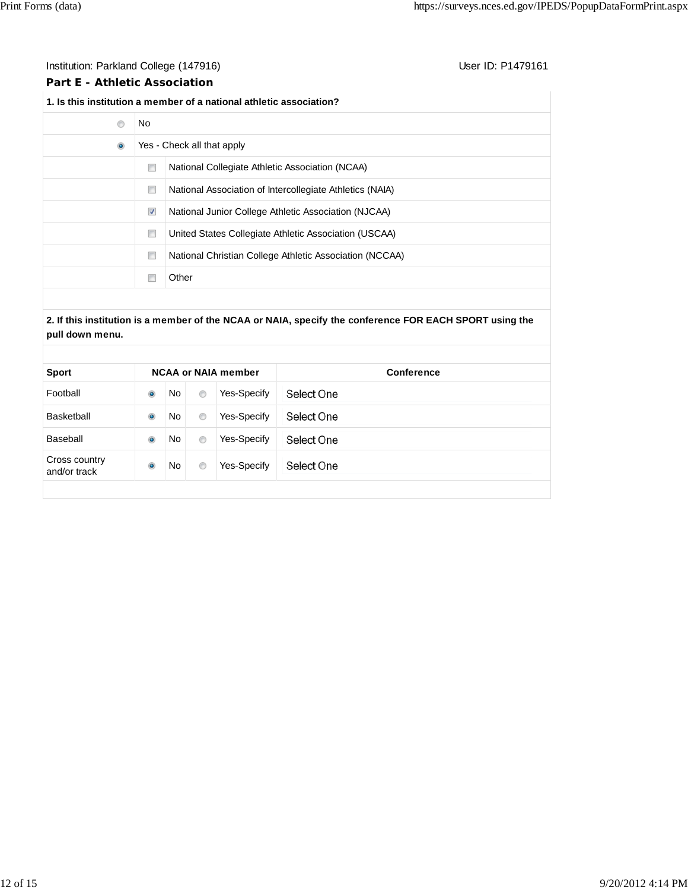## Institution: Parkland College (147916) Contact College (147916)

## **Part E - Athletic Association**

### **1. Is this institution a member of a national athletic association?**

| No                   |                                                          |
|----------------------|----------------------------------------------------------|
|                      | Yes - Check all that apply                               |
| $\Box$               | National Collegiate Athletic Association (NCAA)          |
| n                    | National Association of Intercollegiate Athletics (NAIA) |
| $\blacktriangledown$ | National Junior College Athletic Association (NJCAA)     |
| $\Box$               | United States Collegiate Athletic Association (USCAA)    |
| $\Box$               | National Christian College Athletic Association (NCCAA)  |
|                      | Other                                                    |
|                      |                                                          |

### **2. If this institution is a member of the NCAA or NAIA, specify the conference FOR EACH SPORT using the pull down menu.**

| Select One<br>Football<br>No<br>Yes-Specify<br>$\bullet$<br>$\circledcirc$<br>Select One<br>Yes-Specify<br>Basketball<br>$\bullet$<br>No<br>$\circledcirc$<br>No<br>Yes-Specify<br>Select One<br>Baseball<br>$\bullet$<br>$\circledcirc$<br>Cross country | <b>Sport</b> |           |           |                | <b>NCAA or NAIA member</b> | Conference |
|-----------------------------------------------------------------------------------------------------------------------------------------------------------------------------------------------------------------------------------------------------------|--------------|-----------|-----------|----------------|----------------------------|------------|
|                                                                                                                                                                                                                                                           |              |           |           |                |                            |            |
|                                                                                                                                                                                                                                                           |              |           |           |                |                            |            |
|                                                                                                                                                                                                                                                           |              |           |           |                |                            |            |
| and/or track                                                                                                                                                                                                                                              |              | $\bullet$ | <b>No</b> | $\circledcirc$ | Yes-Specify                | Select One |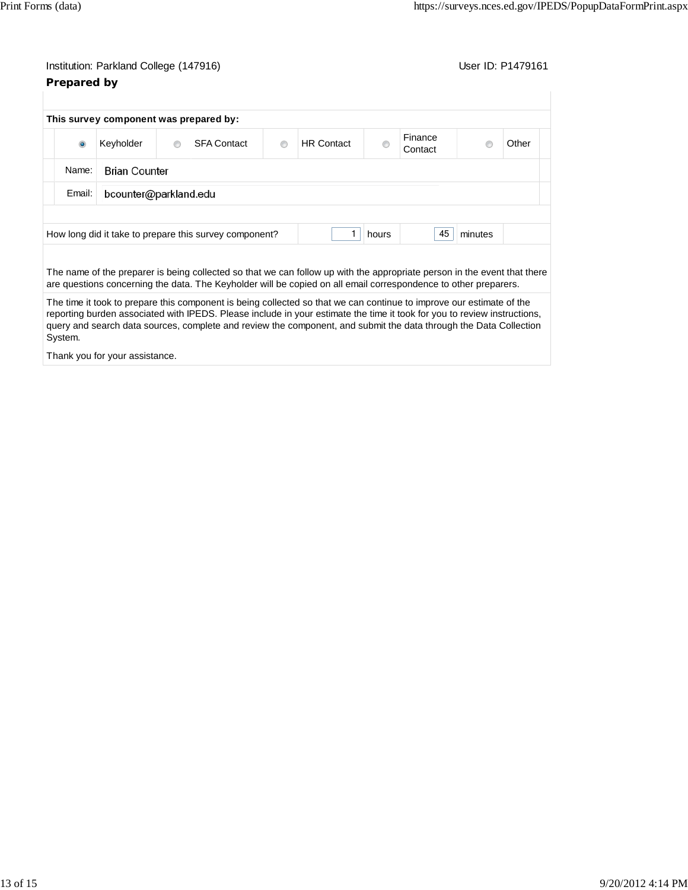# Institution: Parkland College (147916) Contact College (147916) **Prepared by**

|                | This survey component was prepared by: |   |                                                                                                                                                                                                                                                                                                                                                                       |   |                   |       |                    |         |       |
|----------------|----------------------------------------|---|-----------------------------------------------------------------------------------------------------------------------------------------------------------------------------------------------------------------------------------------------------------------------------------------------------------------------------------------------------------------------|---|-------------------|-------|--------------------|---------|-------|
| $\circledcirc$ | Keyholder                              | ⋒ | <b>SFA Contact</b>                                                                                                                                                                                                                                                                                                                                                    | ⋒ | <b>HR Contact</b> |       | Finance<br>Contact |         | Other |
| Name:          | <b>Brian Counter</b>                   |   |                                                                                                                                                                                                                                                                                                                                                                       |   |                   |       |                    |         |       |
| Email:         | bcounter@parkland.edu                  |   |                                                                                                                                                                                                                                                                                                                                                                       |   |                   |       |                    |         |       |
|                |                                        |   |                                                                                                                                                                                                                                                                                                                                                                       |   |                   |       |                    |         |       |
|                |                                        |   | How long did it take to prepare this survey component?                                                                                                                                                                                                                                                                                                                |   |                   | hours | 45                 | minutes |       |
|                |                                        |   |                                                                                                                                                                                                                                                                                                                                                                       |   |                   |       |                    |         |       |
|                |                                        |   | The name of the preparer is being collected so that we can follow up with the appropriate person in the event that there<br>are questions concerning the data. The Keyholder will be copied on all email correspondence to other preparers.                                                                                                                           |   |                   |       |                    |         |       |
| System.        |                                        |   | The time it took to prepare this component is being collected so that we can continue to improve our estimate of the<br>reporting burden associated with IPEDS. Please include in your estimate the time it took for you to review instructions,<br>query and search data sources, complete and review the component, and submit the data through the Data Collection |   |                   |       |                    |         |       |

Thank you for your assistance.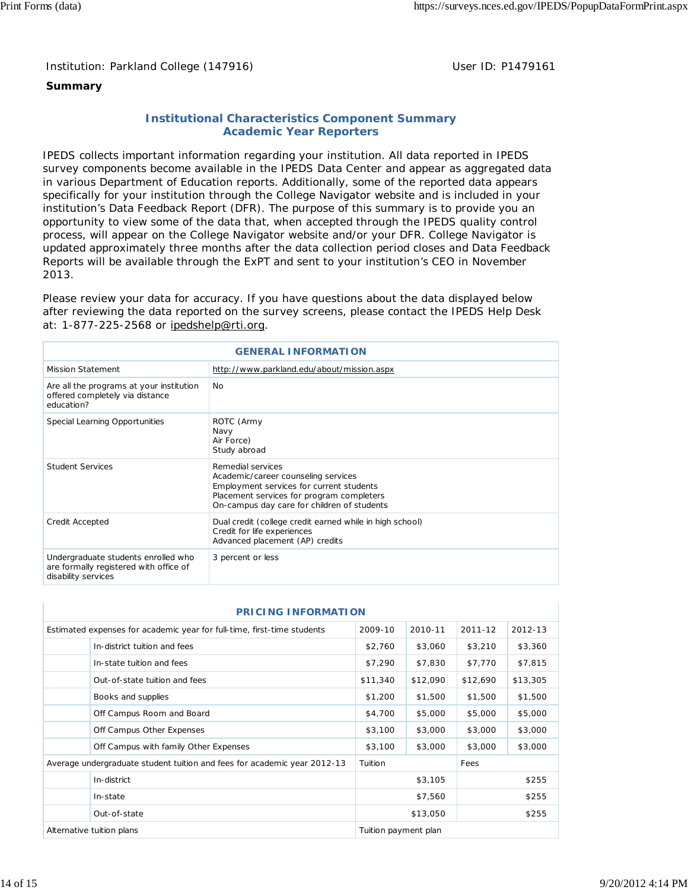Institution: Parkland College (147916) November 2012 10: P1479161

## **Summary**

## **Institutional Characteristics Component Summary Academic Year Reporters**

IPEDS collects important information regarding your institution. All data reported in IPEDS survey components become available in the IPEDS Data Center and appear as aggregated data in various Department of Education reports. Additionally, some of the reported data appears specifically for your institution through the College Navigator website and is included in your institution's Data Feedback Report (DFR). The purpose of this summary is to provide you an opportunity to view some of the data that, when accepted through the IPEDS quality control process, will appear on the College Navigator website and/or your DFR. College Navigator is updated approximately three months after the data collection period closes and Data Feedback Reports will be available through the ExPT and sent to your institution's CEO in November 2013.

Please review your data for accuracy. If you have questions about the data displayed below after reviewing the data reported on the survey screens, please contact the IPEDS Help Desk at: 1-877-225-2568 or ipedshelp@rti.org.

|                                                                                                      | <b>GENERAL INFORMATION</b>                                                                                                                                                                       |
|------------------------------------------------------------------------------------------------------|--------------------------------------------------------------------------------------------------------------------------------------------------------------------------------------------------|
| <b>Mission Statement</b>                                                                             | http://www.parkland.edu/about/mission.aspx                                                                                                                                                       |
| Are all the programs at your institution<br>offered completely via distance<br>education?            | N <sub>0</sub>                                                                                                                                                                                   |
| Special Learning Opportunities                                                                       | ROTC (Army<br>Navy<br>Air Force)<br>Study abroad                                                                                                                                                 |
| <b>Student Services</b>                                                                              | Remedial services<br>Academic/career counseling services<br>Employment services for current students<br>Placement services for program completers<br>On-campus day care for children of students |
| Credit Accepted                                                                                      | Dual credit (college credit earned while in high school)<br>Credit for life experiences<br>Advanced placement (AP) credits                                                                       |
| Undergraduate students enrolled who<br>are formally registered with office of<br>disability services | 3 percent or less                                                                                                                                                                                |

| <b>PRICING INFORMATION</b>                                               |                      |          |          |          |
|--------------------------------------------------------------------------|----------------------|----------|----------|----------|
| Estimated expenses for academic year for full-time, first-time students  | 2009-10              | 2010-11  | 2011-12  | 2012-13  |
| In-district tuition and fees                                             | \$2,760              | \$3,060  | \$3,210  | \$3,360  |
| In-state tuition and fees                                                | \$7,290              | \$7,830  | \$7,770  | \$7,815  |
| Out-of-state tuition and fees                                            | \$11,340             | \$12,090 | \$12,690 | \$13,305 |
| Books and supplies                                                       | \$1,200              | \$1,500  | \$1,500  | \$1,500  |
| Off Campus Room and Board                                                | \$4,700              | \$5,000  | \$5,000  | \$5,000  |
| Off Campus Other Expenses                                                | \$3,100              | \$3,000  | \$3,000  | \$3,000  |
| Off Campus with family Other Expenses                                    | \$3,100              | \$3,000  | \$3,000  | \$3,000  |
| Average undergraduate student tuition and fees for academic year 2012-13 | Tuition              |          | Fees     |          |
| In-district                                                              |                      | \$3,105  |          | \$255    |
| In-state                                                                 |                      | \$7,560  |          | \$255    |
| Out-of-state                                                             |                      | \$13,050 |          | \$255    |
| Alternative tuition plans                                                | Tuition payment plan |          |          |          |